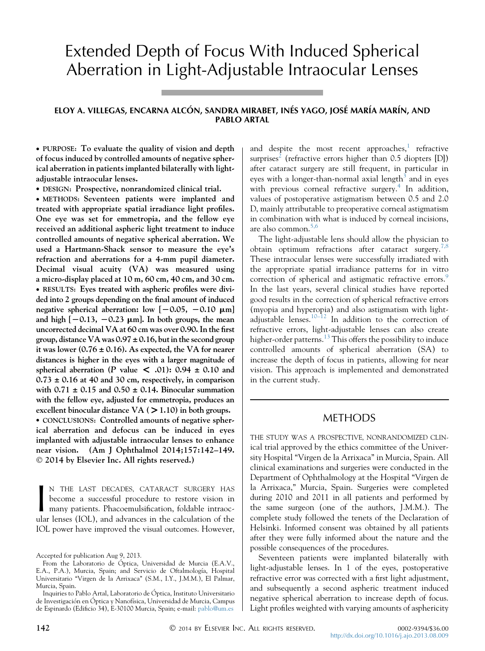# Extended Depth of Focus With Induced Spherical Aberration in Light-Adjustable Intraocular Lenses

## ELOY A. VILLEGAS, ENCARNA ALCÓN, SANDRA MIRABET, INÉS YAGO, JOSÉ MARÍA MARÍN, AND PABLO ARTAL

 PURPOSE: To evaluate the quality of vision and depth of focus induced by controlled amounts of negative spherical aberration in patients implanted bilaterally with lightadjustable intraocular lenses.

DESIGN: Prospective, nonrandomized clinical trial.

 METHODS: Seventeen patients were implanted and treated with appropriate spatial irradiance light profiles. One eye was set for emmetropia, and the fellow eye received an additional aspheric light treatment to induce controlled amounts of negative spherical aberration. We used a Hartmann-Shack sensor to measure the eye's refraction and aberrations for a 4-mm pupil diameter. Decimal visual acuity (VA) was measured using a micro-display placed at 10 m, 60 cm, 40 cm, and 30 cm. RESULTS: Eyes treated with aspheric profiles were divided into 2 groups depending on the final amount of induced negative spherical aberration: low  $[-0.05, -0.10 \mu m]$ and high  $[-0.13, -0.23 \mu m]$ . In both groups, the mean uncorrected decimal VA at 60 cm was over 0.90. In the first group, distance VA was  $0.97 \pm 0.16$ , but in the second group it was lower ( $0.76 \pm 0.16$ ). As expected, the VA for nearer distances is higher in the eyes with a larger magnitude of spherical aberration (P value  $\lt$  .01): 0.94  $\pm$  0.10 and  $0.73 \pm 0.16$  at 40 and 30 cm, respectively, in comparison with  $0.71 \pm 0.15$  and  $0.50 \pm 0.14$ . Binocular summation with the fellow eye, adjusted for emmetropia, produces an excellent binocular distance VA ( $>1.10$ ) in both groups.

• CONCLUSIONS: Controlled amounts of negative spherical aberration and defocus can be induced in eyes implanted with adjustable intraocular lenses to enhance near vision. (Am J Ophthalmol 2014;157:142–149. 2014 by Elsevier Inc. All rights reserved.)

N THE LAST DECADES, CATARACT SURGERY HAS<br>become a successful procedure to restore vision in<br>many patients. Phacoemulsification, foldable intraoc-<br>ular lenses (IOL), and advances in the calculation of the N THE LAST DECADES, CATARACT SURGERY HAS become a successful procedure to restore vision in many patients. Phacoemulsification, foldable intraoc-IOL power have improved the visual outcomes. However,

and despite the most recent approaches, $<sup>1</sup>$  $<sup>1</sup>$  $<sup>1</sup>$  refractive</sup> surprises<sup>[2](#page-7-0)</sup> (refractive errors higher than  $0.5$  diopters [D]) after cataract surgery are still frequent, in particular in eyes with a longer-than-normal axial length<sup>3</sup> and in eyes with previous corneal refractive surgery.<sup>[4](#page-7-0)</sup> In addition, values of postoperative astigmatism between 0.5 and 2.0 D, mainly attributable to preoperative corneal astigmatism in combination with what is induced by corneal incisions, are also common. $5,6$ 

The light-adjustable lens should allow the physician to obtain optimum refractions after cataract surgery.<sup>[7,8](#page-7-0)</sup> These intraocular lenses were successfully irradiated with the appropriate spatial irradiance patterns for in vitro correction of spherical and astigmatic refractive errors.<sup>[9](#page-7-0)</sup> In the last years, several clinical studies have reported good results in the correction of spherical refractive errors (myopia and hyperopia) and also astigmatism with light-adjustable lenses.<sup>[10–12](#page-7-0)</sup> In addition to the correction of refractive errors, light-adjustable lenses can also create higher-order patterns.<sup>[13](#page-7-0)</sup> This offers the possibility to induce controlled amounts of spherical aberration (SA) to increase the depth of focus in patients, allowing for near vision. This approach is implemented and demonstrated in the current study.

## METHODS

THE STUDY WAS A PROSPECTIVE, NONRANDOMIZED CLINical trial approved by the ethics committee of the University Hospital ''Virgen de la Arrixaca'' in Murcia, Spain. All clinical examinations and surgeries were conducted in the Department of Ophthalmology at the Hospital ''Virgen de la Arrixaca,'' Murcia, Spain. Surgeries were completed during 2010 and 2011 in all patients and performed by the same surgeon (one of the authors, J.M.M.). The complete study followed the tenets of the Declaration of Helsinki. Informed consent was obtained by all patients after they were fully informed about the nature and the possible consequences of the procedures.

Seventeen patients were implanted bilaterally with light-adjustable lenses. In 1 of the eyes, postoperative refractive error was corrected with a first light adjustment, and subsequently a second aspheric treatment induced negative spherical aberration to increase depth of focus. Light profiles weighted with varying amounts of asphericity

Accepted for publication Aug 9, 2013.

From the Laboratorio de Óptica, Universidad de Murcia (E.A.V., E.A., P.A.), Murcia, Spain; and Servicio de Oftalmología, Hospital Universitario "Virgen de la Arrixaca" (S.M., I.Y., J.M.M.), El Palmar, Murcia, Spain.

Inquiries to Pablo Artal, Laboratorio de Óptica, Instituto Universitario de Investigación en Óptica y Nanofísica, Universidad de Murcia, Campus de Espinardo (Edificio 34), E-30100 Murcia, Spain; e-mail: [pablo@um.es](mailto:pablo@um.es)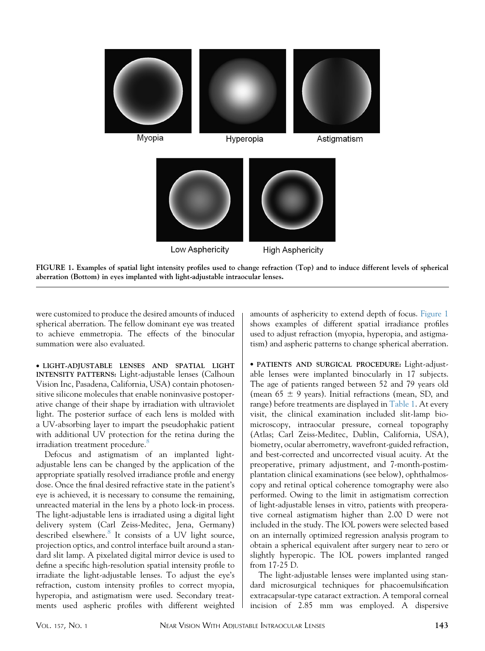



were customized to produce the desired amounts of induced spherical aberration. The fellow dominant eye was treated to achieve emmetropia. The effects of the binocular summation were also evaluated.

 LIGHT-ADJUSTABLE LENSES AND SPATIAL LIGHT INTENSITY PATTERNS: Light-adjustable lenses (Calhoun Vision Inc, Pasadena, California, USA) contain photosensitive silicone molecules that enable noninvasive postoperative change of their shape by irradiation with ultraviolet light. The posterior surface of each lens is molded with a UV-absorbing layer to impart the pseudophakic patient with additional UV protection for the retina during the irradiation treatment procedure.<sup>[8](#page-7-0)</sup>

Defocus and astigmatism of an implanted lightadjustable lens can be changed by the application of the appropriate spatially resolved irradiance profile and energy dose. Once the final desired refractive state in the patient's eye is achieved, it is necessary to consume the remaining, unreacted material in the lens by a photo lock-in process. The light-adjustable lens is irradiated using a digital light delivery system (Carl Zeiss-Meditec, Jena, Germany) described elsewhere. $8$  It consists of a UV light source, projection optics, and control interface built around a standard slit lamp. A pixelated digital mirror device is used to define a specific high-resolution spatial intensity profile to irradiate the light-adjustable lenses. To adjust the eye's refraction, custom intensity profiles to correct myopia, hyperopia, and astigmatism were used. Secondary treatments used aspheric profiles with different weighted

amounts of asphericity to extend depth of focus. Figure 1 shows examples of different spatial irradiance profiles used to adjust refraction (myopia, hyperopia, and astigmatism) and aspheric patterns to change spherical aberration.

 PATIENTS AND SURGICAL PROCEDURE: Light-adjustable lenses were implanted binocularly in 17 subjects. The age of patients ranged between 52 and 79 years old (mean  $65 \pm 9$  years). Initial refractions (mean, SD, and range) before treatments are displayed in [Table 1](#page-2-0). At every visit, the clinical examination included slit-lamp biomicroscopy, intraocular pressure, corneal topography (Atlas; Carl Zeiss-Meditec, Dublin, California, USA), biometry, ocular aberrometry, wavefront-guided refraction, and best-corrected and uncorrected visual acuity. At the preoperative, primary adjustment, and 7-month-postimplantation clinical examinations (see below), ophthalmoscopy and retinal optical coherence tomography were also performed. Owing to the limit in astigmatism correction of light-adjustable lenses in vitro, patients with preoperative corneal astigmatism higher than 2.00 D were not included in the study. The IOL powers were selected based on an internally optimized regression analysis program to obtain a spherical equivalent after surgery near to zero or slightly hyperopic. The IOL powers implanted ranged from 17-25 D.

The light-adjustable lenses were implanted using standard microsurgical techniques for phacoemulsification extracapsular-type cataract extraction. A temporal corneal incision of 2.85 mm was employed. A dispersive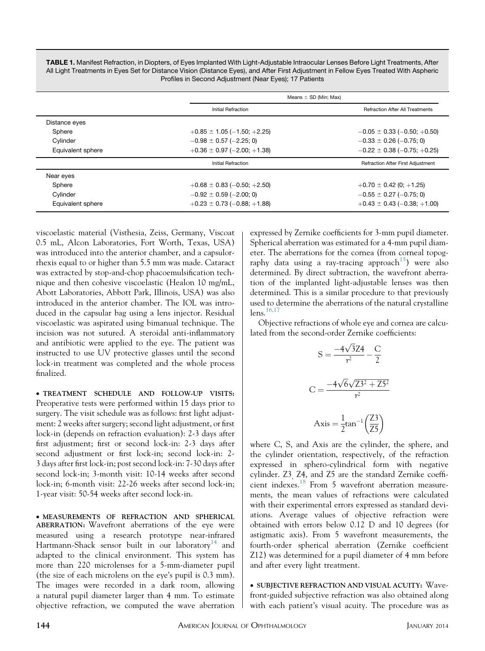<span id="page-2-0"></span>TABLE 1. Manifest Refraction, in Diopters, of Eyes Implanted With Light-Adjustable Intraocular Lenses Before Light Treatments, After All Light Treatments in Eyes Set for Distance Vision (Distance Eyes), and After First Adjustment in Fellow Eyes Treated With Aspheric Profiles in Second Adjustment (Near Eyes); 17 Patients

|                   |                                 | Means $\pm$ SD (Min; Max)              |  |  |
|-------------------|---------------------------------|----------------------------------------|--|--|
|                   | <b>Initial Refraction</b>       | <b>Refraction After All Treatments</b> |  |  |
| Distance eyes     |                                 |                                        |  |  |
| Sphere            | $+0.85 \pm 1.05 (-1.50; +2.25)$ | $-0.05 \pm 0.33 (-0.50; +0.50)$        |  |  |
| Cylinder          | $-0.98 \pm 0.57$ (-2.25; 0)     | $-0.33 \pm 0.26$ (-0.75; 0)            |  |  |
| Equivalent sphere | $+0.36 \pm 0.97 (-2.00; +1.38)$ | $-0.22 \pm 0.38 (-0.75; +0.25)$        |  |  |
|                   | Initial Refraction              | Refraction After First Adjustment      |  |  |
| Near eyes         |                                 |                                        |  |  |
| Sphere            | $+0.68 \pm 0.83 (-0.50; +2.50)$ | $+0.70 \pm 0.42$ (0; +1.25)            |  |  |
| Cylinder          | $-0.92 \pm 0.59$ (-2.00; 0)     | $-0.55 \pm 0.27 (-0.75; 0)$            |  |  |
| Equivalent sphere | $+0.23 \pm 0.73 (-0.88; +1.88)$ | $+0.43 \pm 0.43 (-0.38; +1.00)$        |  |  |

viscoelastic material (Visthesia, Zeiss, Germany, Viscoat 0.5 mL, Alcon Laboratories, Fort Worth, Texas, USA) was introduced into the anterior chamber, and a capsulorrhexis equal to or higher than 5.5 mm was made. Cataract was extracted by stop-and-chop phacoemulsification technique and then cohesive viscoelastic (Healon 10 mg/mL, Abott Laboratories, Abbott Park, Illinois, USA) was also introduced in the anterior chamber. The IOL was introduced in the capsular bag using a lens injector. Residual viscoelastic was aspirated using bimanual technique. The incision was not sutured. A steroidal anti-inflammatory and antibiotic were applied to the eye. The patient was instructed to use UV protective glasses until the second lock-in treatment was completed and the whole process finalized.

 TREATMENT SCHEDULE AND FOLLOW-UP VISITS: Preoperative tests were performed within 15 days prior to surgery. The visit schedule was as follows: first light adjustment: 2 weeks after surgery; second light adjustment, or first lock-in (depends on refraction evaluation): 2-3 days after first adjustment; first or second lock-in: 2-3 days after second adjustment or first lock-in; second lock-in: 2- 3 days after first lock-in; post second lock-in: 7-30 days after second lock-in; 3-month visit: 10-14 weeks after second lock-in; 6-month visit: 22-26 weeks after second lock-in; 1-year visit: 50-54 weeks after second lock-in.

 MEASUREMENTS OF REFRACTION AND SPHERICAL ABERRATION: Wavefront aberrations of the eye were measured using a research prototype near-infrared Hartmann-Shack sensor built in our laboratory<sup>[14](#page-7-0)</sup> and adapted to the clinical environment. This system has more than 220 microlenses for a 5-mm-diameter pupil (the size of each microlens on the eye's pupil is 0.3 mm). The images were recorded in a dark room, allowing a natural pupil diameter larger than 4 mm. To estimate objective refraction, we computed the wave aberration

expressed by Zernike coefficients for 3-mm pupil diameter. Spherical aberration was estimated for a 4-mm pupil diameter. The aberrations for the cornea (from corneal topog-raphy data using a ray-tracing approach<sup>[15](#page-7-0)</sup>) were also determined. By direct subtraction, the wavefront aberration of the implanted light-adjustable lenses was then determined. This is a similar procedure to that previously used to determine the aberrations of the natural crystalline  $lens.$ <sup>[16,17](#page-7-0)</sup>

Objective refractions of whole eye and cornea are calculated from the second-order Zernike coefficients:

$$
S = \frac{-4\sqrt{3}Z4}{r^2} - \frac{C}{2}
$$

$$
C = \frac{-4\sqrt{6}\sqrt{Z3^2 + Z5^2}}{r^2}
$$

$$
Axis = \frac{1}{2}tan^{-1}\left(\frac{Z3}{Z5}\right)
$$

where C, S, and Axis are the cylinder, the sphere, and the cylinder orientation, respectively, of the refraction expressed in sphero-cylindrical form with negative cylinder. Z3, Z4, and Z5 are the standard Zernike coefficient indexes.[18](#page-7-0) From 5 wavefront aberration measurements, the mean values of refractions were calculated with their experimental errors expressed as standard deviations. Average values of objective refraction were obtained with errors below 0.12 D and 10 degrees (for astigmatic axis). From 5 wavefront measurements, the fourth-order spherical aberration (Zernike coefficient Z12) was determined for a pupil diameter of 4 mm before and after every light treatment.

 SUBJECTIVE REFRACTION AND VISUAL ACUITY: Wavefront-guided subjective refraction was also obtained along with each patient's visual acuity. The procedure was as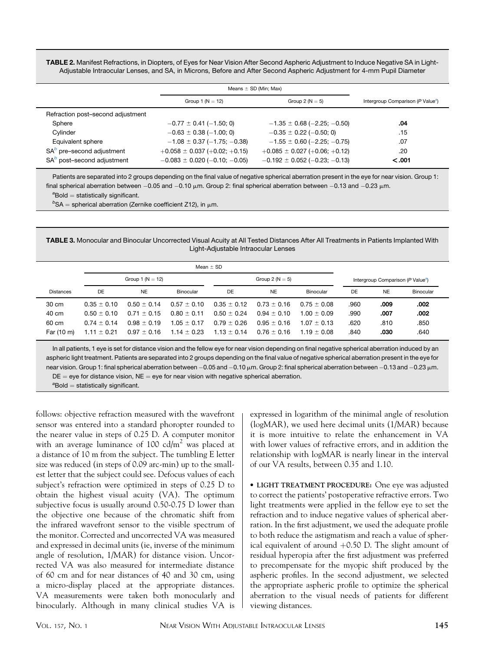<span id="page-3-0"></span>TABLE 2. Manifest Refractions, in Diopters, of Eyes for Near Vision After Second Aspheric Adjustment to Induce Negative SA in Light-Adjustable Intraocular Lenses, and SA, in Microns, Before and After Second Aspheric Adjustment for 4-mm Pupil Diameter

|                                   | Means $\pm$ SD (Min; Max)         |                                               |        |
|-----------------------------------|-----------------------------------|-----------------------------------------------|--------|
|                                   |                                   |                                               |        |
|                                   | Group 1 ( $N = 12$ )              | Intergroup Comparison (P Value <sup>a</sup> ) |        |
| Refraction post-second adjustment |                                   |                                               |        |
| Sphere                            | $-0.77 \pm 0.41 (-1.50; 0)$       | $-1.35 \pm 0.68$ (-2.25; -0.50)               | .04    |
| Cvlinder                          | $-0.63 \pm 0.38 (-1.00; 0)$       | $-0.35 \pm 0.22$ (-0.50; 0)                   | .15    |
| Equivalent sphere                 | $-1.08 \pm 0.37 (-1.75; -0.38)$   | $-1.55 \pm 0.60$ (-2.25; -0.75)               | .07    |
| $SAb$ pre-second adjustment       | $+0.058 \pm 0.037 (+0.02; +0.15)$ | $+0.085 \pm 0.027 (+0.06; +0.12)$             | .20    |
| $SAb$ post-second adjustment      | $-0.083 \pm 0.020$ (-0.10; -0.05) | $-0.192 \pm 0.052$ ( $-0.23$ ; $-0.13$ )      | < .001 |
|                                   |                                   |                                               |        |

Patients are separated into 2 groups depending on the final value of negative spherical aberration present in the eye for near vision. Group 1: final spherical aberration between  $-0.05$  and  $-0.10$   $\mu$ m. Group 2: final spherical aberration between  $-0.13$  and  $-0.23$   $\mu$ m. <sup>a</sup>Bold = statistically significant.

 $b$ SA = spherical aberration (Zernike coefficient Z12), in  $\mu$ m.

TABLE 3. Monocular and Binocular Uncorrected Visual Acuity at All Tested Distances After All Treatments in Patients Implanted With Light-Adjustable Intraocular Lenses

|                  | Mean $\pm$ SD        |                 |                 |                     |                 |                                               |      |           |           |
|------------------|----------------------|-----------------|-----------------|---------------------|-----------------|-----------------------------------------------|------|-----------|-----------|
|                  | Group 1 ( $N = 12$ ) |                 |                 | Group 2 ( $N = 5$ ) |                 | Intergroup Comparison (P Value <sup>a</sup> ) |      |           |           |
| <b>Distances</b> | DE                   | <b>NE</b>       | Binocular       | DE                  | <b>NE</b>       | <b>Binocular</b>                              | DE   | <b>NE</b> | Binocular |
| 30 cm            | $0.35 + 0.10$        | $0.50 \pm 0.14$ | $0.57 \pm 0.10$ | $0.35 \pm 0.12$     | $0.73 \pm 0.16$ | $0.75 + 0.08$                                 | .960 | .009      | .002      |
| 40 cm            | $0.50 + 0.10$        | $0.71 \pm 0.15$ | $0.80 \pm 0.11$ | $0.50 \pm 0.24$     | $0.94 + 0.10$   | $1.00 + 0.09$                                 | .990 | .007      | .002      |
| 60 cm            | $0.74 + 0.14$        | $0.98 \pm 0.19$ | $1.05 \pm 0.17$ | $0.79 \pm 0.26$     | $0.95 \pm 0.16$ | $1.07 + 0.13$                                 | .620 | .810      | .850      |
| Far (10 m)       | $1.11 \pm 0.21$      | $0.97 \pm 0.16$ | $1.14 \pm 0.23$ | $1.13 \pm 0.14$     | $0.76 + 0.16$   | $1.19 + 0.08$                                 | .840 | .030      | .640      |

In all patients, 1 eye is set for distance vision and the fellow eye for near vision depending on final negative spherical aberration induced by an aspheric light treatment. Patients are separated into 2 groups depending on the final value of negative spherical aberration present in the eye for near vision. Group 1: final spherical aberration between -0.05 and -0.10  $\mu$ m. Group 2: final spherical aberration between -0.13 and -0.23  $\mu$ m.  $DE = eye$  for distance vision,  $NE = eye$  for near vision with negative spherical aberration.

<sup>a</sup>Bold = statistically significant.

follows: objective refraction measured with the wavefront sensor was entered into a standard phoropter rounded to the nearer value in steps of 0.25 D. A computer monitor with an average luminance of 100  $\text{cd/m}^2$  was placed at a distance of 10 m from the subject. The tumbling E letter size was reduced (in steps of 0.09 arc-min) up to the smallest letter that the subject could see. Defocus values of each subject's refraction were optimized in steps of 0.25 D to obtain the highest visual acuity (VA). The optimum subjective focus is usually around 0.50-0.75 D lower than the objective one because of the chromatic shift from the infrared wavefront sensor to the visible spectrum of the monitor. Corrected and uncorrected VA was measured and expressed in decimal units (ie, inverse of the minimum angle of resolution, 1/MAR) for distance vision. Uncorrected VA was also measured for intermediate distance of 60 cm and for near distances of 40 and 30 cm, using a micro-display placed at the appropriate distances. VA measurements were taken both monocularly and binocularly. Although in many clinical studies VA is

expressed in logarithm of the minimal angle of resolution (logMAR), we used here decimal units (1/MAR) because it is more intuitive to relate the enhancement in VA with lower values of refractive errors, and in addition the relationship with logMAR is nearly linear in the interval of our VA results, between 0.35 and 1.10.

 LIGHT TREATMENT PROCEDURE: One eye was adjusted to correct the patients' postoperative refractive errors. Two light treatments were applied in the fellow eye to set the refraction and to induce negative values of spherical aberration. In the first adjustment, we used the adequate profile to both reduce the astigmatism and reach a value of spherical equivalent of around  $+0.50$  D. The slight amount of residual hyperopia after the first adjustment was preferred to precompensate for the myopic shift produced by the aspheric profiles. In the second adjustment, we selected the appropriate aspheric profile to optimize the spherical aberration to the visual needs of patients for different viewing distances.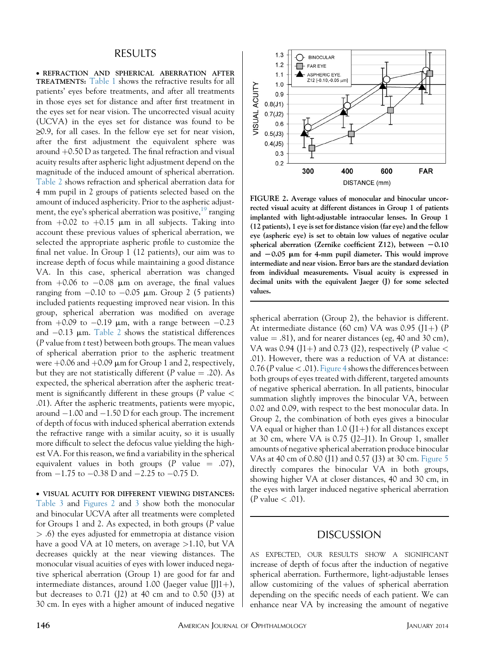#### RESULTS

 REFRACTION AND SPHERICAL ABERRATION AFTER TREATMENTS: [Table 1](#page-2-0) shows the refractive results for all patients' eyes before treatments, and after all treatments in those eyes set for distance and after first treatment in the eyes set for near vision. The uncorrected visual acuity (UCVA) in the eyes set for distance was found to be  $\geq$ 0.9, for all cases. In the fellow eye set for near vision, after the first adjustment the equivalent sphere was around  $+0.50$  D as targeted. The final refraction and visual acuity results after aspheric light adjustment depend on the magnitude of the induced amount of spherical aberration. [Table 2](#page-3-0) shows refraction and spherical aberration data for 4 mm pupil in 2 groups of patients selected based on the amount of induced asphericity. Prior to the aspheric adjustment, the eye's spherical aberration was positive,  $19^9$  $19^9$  ranging from  $+0.02$  to  $+0.15$  µm in all subjects. Taking into account these previous values of spherical aberration, we selected the appropriate aspheric profile to customize the final net value. In Group 1 (12 patients), our aim was to increase depth of focus while maintaining a good distance VA. In this case, spherical aberration was changed from  $+0.06$  to  $-0.08$  µm on average, the final values ranging from  $-0.10$  to  $-0.05$  µm. Group 2 (5 patients) included patients requesting improved near vision. In this group, spherical aberration was modified on average from  $+0.09$  to  $-0.19$  µm, with a range between  $-0.23$ and  $-0.13$  µm. [Table 2](#page-3-0) shows the statistical differences (P value from t test) between both groups. The mean values of spherical aberration prior to the aspheric treatment were  $+0.06$  and  $+0.09$   $\mu$ m for Group 1 and 2, respectively, but they are not statistically different (P value  $= .20$ ). As expected, the spherical aberration after the aspheric treatment is significantly different in these groups ( $P$  value  $\lt$ .01). After the aspheric treatments, patients were myopic, around  $-1.00$  and  $-1.50$  D for each group. The increment of depth of focus with induced spherical aberration extends the refractive range with a similar acuity, so it is usually more difficult to select the defocus value yielding the highest VA. For this reason, we find a variability in the spherical equivalent values in both groups (P value  $= .07$ ), from  $-1.75$  to  $-0.38$  D and  $-2.25$  to  $-0.75$  D.

 VISUAL ACUITY FOR DIFFERENT VIEWING DISTANCES: [Table 3](#page-3-0) and Figures 2 and [3](#page-5-0) show both the monocular and binocular UCVA after all treatments were completed for Groups 1 and 2. As expected, in both groups (P value > .6) the eyes adjusted for emmetropia at distance vision have a good VA at 10 meters, on average >1.10, but VA decreases quickly at the near viewing distances. The monocular visual acuities of eyes with lower induced negative spherical aberration (Group 1) are good for far and intermediate distances, around 1.00 (Jaeger value  $[J(1+),$ but decreases to  $0.71$  ( $12$ ) at  $40$  cm and to  $0.50$  ( $13$ ) at 30 cm. In eyes with a higher amount of induced negative



FIGURE 2. Average values of monocular and binocular uncorrected visual acuity at different distances in Group 1 of patients implanted with light-adjustable intraocular lenses. In Group 1 (12 patients), 1 eye is set for distance vision (far eye) and the fellow eye (aspheric eye) is set to obtain low values of negative ocular spherical aberration (Zernike coefficient Z12), between  $-0.10$ and  $-0.05$  µm for 4-mm pupil diameter. This would improve intermediate and near vision. Error bars are the standard deviation from individual measurements. Visual acuity is expressed in decimal units with the equivalent Jaeger (J) for some selected values.

spherical aberration (Group 2), the behavior is different. At intermediate distance (60 cm) VA was 0.95 (J1+) (P value  $= .81$ ), and for nearer distances (eg, 40 and 30 cm), VA was 0.94 (J1+) and 0.73 (J2), respectively (P value  $<$ .01). However, there was a reduction of VA at distance: 0.76 (P value  $<$  .01). [Figure 4](#page-5-0) shows the differences between both groups of eyes treated with different, targeted amounts of negative spherical aberration. In all patients, binocular summation slightly improves the binocular VA, between 0.02 and 0.09, with respect to the best monocular data. In Group 2, the combination of both eyes gives a binocular VA equal or higher than  $1.0$  (J1+) for all distances except at 30 cm, where VA is 0.75 (J2–J1). In Group 1, smaller amounts of negative spherical aberration produce binocular VAs at 40 cm of 0.80 (J1) and 0.57 (J3) at 30 cm. [Figure 5](#page-5-0) directly compares the binocular VA in both groups, showing higher VA at closer distances, 40 and 30 cm, in the eyes with larger induced negative spherical aberration  $(P$  value  $< .01$ ).

## DISCUSSION

AS EXPECTED, OUR RESULTS SHOW A SIGNIFICANT increase of depth of focus after the induction of negative spherical aberration. Furthermore, light-adjustable lenses allow customizing of the values of spherical aberration depending on the specific needs of each patient. We can enhance near VA by increasing the amount of negative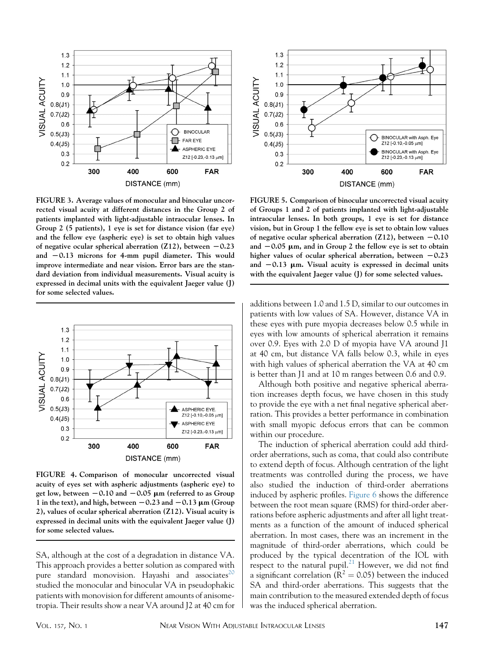<span id="page-5-0"></span>

FIGURE 3. Average values of monocular and binocular uncorrected visual acuity at different distances in the Group 2 of patients implanted with light-adjustable intraocular lenses. In Group 2 (5 patients), 1 eye is set for distance vision (far eye) and the fellow eye (aspheric eye) is set to obtain high values of negative ocular spherical aberration (Z12), between  $-0.23$ and  $-0.13$  microns for 4-mm pupil diameter. This would improve intermediate and near vision. Error bars are the standard deviation from individual measurements. Visual acuity is expressed in decimal units with the equivalent Jaeger value (J) for some selected values.



FIGURE 4. Comparison of monocular uncorrected visual acuity of eyes set with aspheric adjustments (aspheric eye) to get low, between  $-0.10$  and  $-0.05$   $\mu$ m (referred to as Group 1 in the text), and high, between  $-0.23$  and  $-0.13$   $\mu$ m (Group 2), values of ocular spherical aberration (Z12). Visual acuity is expressed in decimal units with the equivalent Jaeger value (J) for some selected values.

SA, although at the cost of a degradation in distance VA. This approach provides a better solution as compared with pure standard monovision. Hayashi and associates<sup>20</sup> studied the monocular and binocular VA in pseudophakic patients with monovision for different amounts of anisometropia. Their results show a near VA around J2 at 40 cm for



FIGURE 5. Comparison of binocular uncorrected visual acuity of Groups 1 and 2 of patients implanted with light-adjustable intraocular lenses. In both groups, 1 eye is set for distance vision, but in Group 1 the fellow eye is set to obtain low values of negative ocular spherical aberration (Z12), between  $-0.10$ and  $-0.05$  µm, and in Group 2 the fellow eye is set to obtain higher values of ocular spherical aberration, between  $-0.23$ and  $-0.13$  mm. Visual acuity is expressed in decimal units with the equivalent Jaeger value (J) for some selected values.

additions between 1.0 and 1.5 D, similar to our outcomes in patients with low values of SA. However, distance VA in these eyes with pure myopia decreases below 0.5 while in eyes with low amounts of spherical aberration it remains over 0.9. Eyes with 2.0 D of myopia have VA around J1 at 40 cm, but distance VA falls below 0.3, while in eyes with high values of spherical aberration the VA at 40 cm is better than J1 and at 10 m ranges between 0.6 and 0.9.

Although both positive and negative spherical aberration increases depth focus, we have chosen in this study to provide the eye with a net final negative spherical aberration. This provides a better performance in combination with small myopic defocus errors that can be common within our procedure.

The induction of spherical aberration could add thirdorder aberrations, such as coma, that could also contribute to extend depth of focus. Although centration of the light treatments was controlled during the process, we have also studied the induction of third-order aberrations induced by aspheric profiles. [Figure 6](#page-6-0) shows the difference between the root mean square (RMS) for third-order aberrations before aspheric adjustments and after all light treatments as a function of the amount of induced spherical aberration. In most cases, there was an increment in the magnitude of third-order aberrations, which could be produced by the typical decentration of the IOL with respect to the natural pupil.<sup>[21](#page-7-0)</sup> However, we did not find a significant correlation ( $\tilde{R}^2 = 0.05$ ) between the induced SA and third-order aberrations. This suggests that the main contribution to the measured extended depth of focus was the induced spherical aberration.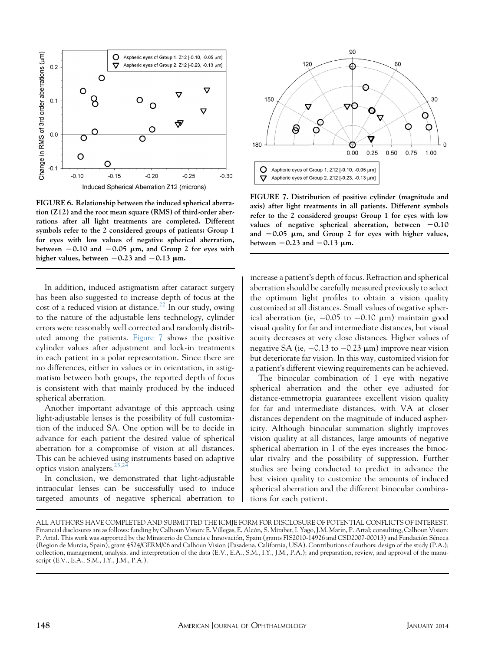<span id="page-6-0"></span>

FIGURE 6. Relationship between the induced spherical aberration (Z12) and the root mean square (RMS) of third-order aberrations after all light treatments are completed. Different symbols refer to the 2 considered groups of patients: Group 1 for eyes with low values of negative spherical aberration, between  $-0.10$  and  $-0.05$  µm, and Group 2 for eyes with higher values, between  $-0.23$  and  $-0.13$   $\mu$ m.

In addition, induced astigmatism after cataract surgery has been also suggested to increase depth of focus at the cost of a reduced vision at distance.<sup>[22](#page-7-0)</sup> In our study, owing to the nature of the adjustable lens technology, cylinder errors were reasonably well corrected and randomly distributed among the patients. Figure 7 shows the positive cylinder values after adjustment and lock-in treatments in each patient in a polar representation. Since there are no differences, either in values or in orientation, in astigmatism between both groups, the reported depth of focus is consistent with that mainly produced by the induced spherical aberration.

Another important advantage of this approach using light-adjustable lenses is the possibility of full customization of the induced SA. One option will be to decide in advance for each patient the desired value of spherical aberration for a compromise of vision at all distances. This can be achieved using instruments based on adaptive optics vision analyzers.  $23,24$ 

In conclusion, we demonstrated that light-adjustable intraocular lenses can be successfully used to induce targeted amounts of negative spherical aberration to



FIGURE 7. Distribution of positive cylinder (magnitude and axis) after light treatments in all patients. Different symbols refer to the 2 considered groups: Group 1 for eyes with low values of negative spherical aberration, between  $-0.10$ and  $-0.05$   $\mu$ m, and Group 2 for eyes with higher values, between  $-0.23$  and  $-0.13$   $\mu$ m.

increase a patient's depth of focus. Refraction and spherical aberration should be carefully measured previously to select the optimum light profiles to obtain a vision quality customized at all distances. Small values of negative spherical aberration (ie,  $-0.05$  to  $-0.10$   $\mu$ m) maintain good visual quality for far and intermediate distances, but visual acuity decreases at very close distances. Higher values of negative SA (ie,  $-0.13$  to  $-0.23$   $\mu$ m) improve near vision but deteriorate far vision. In this way, customized vision for a patient's different viewing requirements can be achieved.

The binocular combination of 1 eye with negative spherical aberration and the other eye adjusted for distance-emmetropia guarantees excellent vision quality for far and intermediate distances, with VA at closer distances dependent on the magnitude of induced asphericity. Although binocular summation slightly improves vision quality at all distances, large amounts of negative spherical aberration in 1 of the eyes increases the binocular rivalry and the possibility of suppression. Further studies are being conducted to predict in advance the best vision quality to customize the amounts of induced spherical aberration and the different binocular combinations for each patient.

ALL AUTHORS HAVE COMPLETED AND SUBMITTED THE ICMJE FORM FOR DISCLOSURE OF POTENTIAL CONFLICTS OF INTEREST. Financial disclosures are as follows: funding by Calhoun Vision: E. Villegas, E. Alcón, S. Mirabet, I. Yago, J.M. Marín, P. Artal; consulting, Calhoun Vision: P. Artal. This work was supported by the Ministerio de Ciencia e Innovación, Spain (grants FIS2010-14926 and CSD2007-00013) and Fundación Séneca (Region de Murcia, Spain), grant 4524/GERM/06 and Calhoun Vision (Pasadena, California, USA). Contributions of authors: design of the study (P.A.); collection, management, analysis, and interpretation of the data (E.V., E.A., S.M., I.Y., J.M., P.A.); and preparation, review, and approval of the manuscript (E.V., E.A., S.M., I.Y., J.M., P.A.).